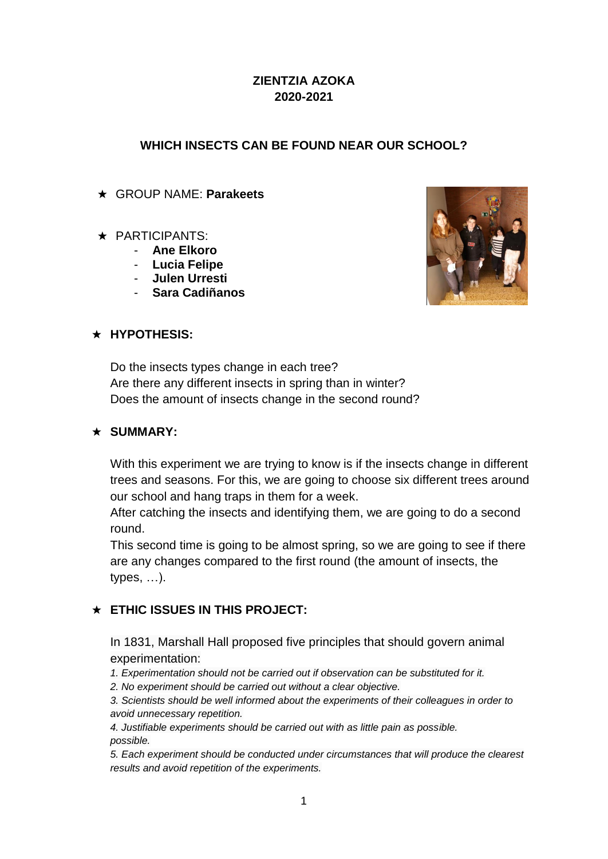### **ZIENTZIA AZOKA 2020-2021**

### **WHICH INSECTS CAN BE FOUND NEAR OUR SCHOOL?**

★ GROUP NAME: **Parakeets**

### ★ PARTICIPANTS:

- **Ane Elkoro**
- **Lucia Felipe**
- **Julen Urresti**
- **Sara Cadiñanos**



### ★ **HYPOTHESIS:**

Do the insects types change in each tree? Are there any different insects in spring than in winter? Does the amount of insects change in the second round?

### ★ **SUMMARY:**

With this experiment we are trying to know is if the insects change in different trees and seasons. For this, we are going to choose six different trees around our school and hang traps in them for a week.

After catching the insects and identifying them, we are going to do a second round.

This second time is going to be almost spring, so we are going to see if there are any changes compared to the first round (the amount of insects, the types, …).

### ★ **ETHIC ISSUES IN THIS PROJECT:**

In 1831, Marshall Hall proposed five principles that should govern animal experimentation:

*1. Experimentation should not be carried out if observation can be substituted for it.*

*2. No experiment should be carried out without a clear objective.*

*3. Scientists should be well informed about the experiments of their colleagues in order to avoid unnecessary repetition.*

*4. Justifiable experiments should be carried out with as little pain as possible. possible.*

*5. Each experiment should be conducted under circumstances that will produce the clearest results and avoid repetition of the experiments.*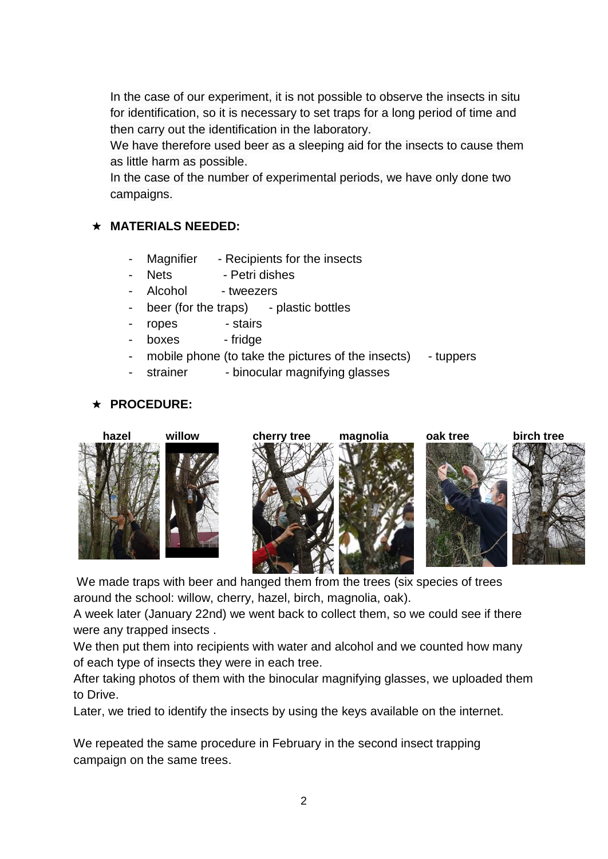In the case of our experiment, it is not possible to observe the insects in situ for identification, so it is necessary to set traps for a long period of time and then carry out the identification in the laboratory.

We have therefore used beer as a sleeping aid for the insects to cause them as little harm as possible.

In the case of the number of experimental periods, we have only done two campaigns.

### ★ **MATERIALS NEEDED:**

- Magnifier Recipients for the insects
- Nets Petri dishes
- Alcohol tweezers
- beer (for the traps) plastic bottles
- ropes stairs
- boxes fridge
- mobile phone (to take the pictures of the insects) tuppers
- strainer binocular magnifying glasses

### ★ **PROCEDURE:**



We made traps with beer and hanged them from the trees (six species of trees around the school: willow, cherry, hazel, birch, magnolia, oak).

A week later (January 22nd) we went back to collect them, so we could see if there were any trapped insects .

We then put them into recipients with water and alcohol and we counted how many of each type of insects they were in each tree.

After taking photos of them with the binocular magnifying glasses, we uploaded them to Drive.

Later, we tried to identify the insects by using the keys available on the internet.

We repeated the same procedure in February in the second insect trapping campaign on the same trees.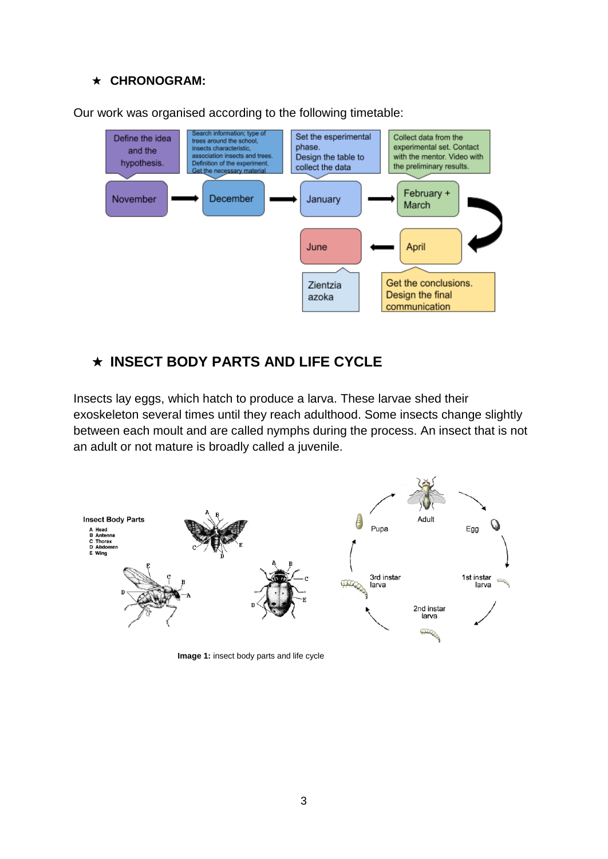#### ★ **CHRONOGRAM:**



Our work was organised according to the following timetable:

## ★ **INSECT BODY PARTS AND LIFE CYCLE**

Insects lay eggs, which hatch to produce a larva. These larvae shed their exoskeleton several times until they reach adulthood. Some insects change slightly between each moult and are called nymphs during the process. An insect that is not an adult or not mature is broadly called a juvenile.



**Image 1:** insect body parts and life cycle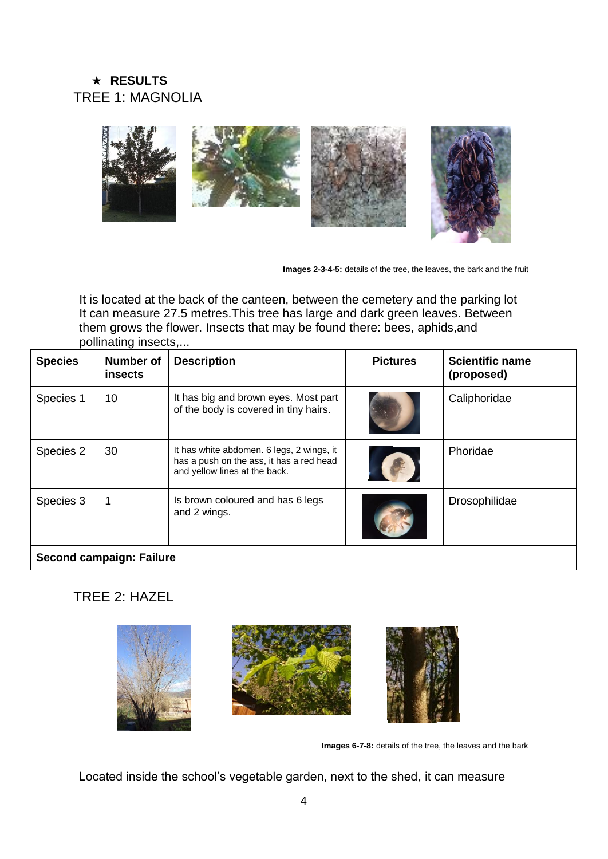## ★ **RESULTS** TREE 1: MAGNOLIA



**Images 2-3-4-5:** details of the tree, the leaves, the bark and the fruit

It is located at the back of the canteen, between the cemetery and the parking lot It can measure 27.5 metres.This tree has large and dark green leaves. Between them grows the flower. Insects that may be found there: bees, aphids,and pollinating insects,...

| <b>Species</b>           | <b>Number of</b><br>insects | <b>Description</b>                                                                                                     | <b>Pictures</b> | <b>Scientific name</b><br>(proposed) |  |
|--------------------------|-----------------------------|------------------------------------------------------------------------------------------------------------------------|-----------------|--------------------------------------|--|
| Species 1                | 10                          | It has big and brown eyes. Most part<br>of the body is covered in tiny hairs.                                          |                 | Caliphoridae                         |  |
| Species 2                | 30                          | It has white abdomen. 6 legs, 2 wings, it<br>has a push on the ass, it has a red head<br>and yellow lines at the back. |                 | Phoridae                             |  |
| Species 3                |                             | Is brown coloured and has 6 legs<br>and 2 wings.                                                                       |                 | Drosophilidae                        |  |
| Second campaign: Failure |                             |                                                                                                                        |                 |                                      |  |

## TREE 2: HAZEL





**Images 6-7-8:** details of the tree, the leaves and the bark

Located inside the school's vegetable garden, next to the shed, it can measure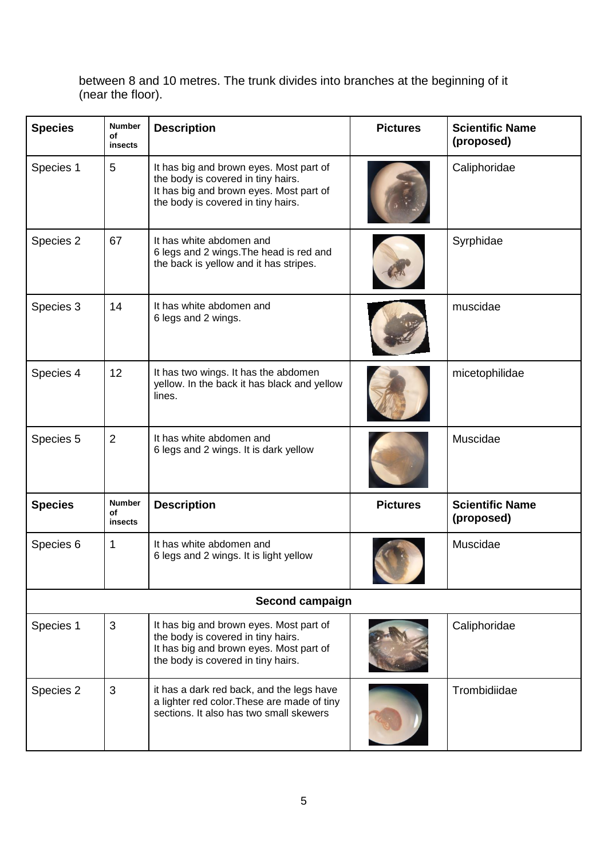between 8 and 10 metres. The trunk divides into branches at the beginning of it (near the floor).

| <b>Species</b> | <b>Number</b><br>οf<br>insects | <b>Description</b>                                                                                                                                             | <b>Pictures</b> | <b>Scientific Name</b><br>(proposed) |
|----------------|--------------------------------|----------------------------------------------------------------------------------------------------------------------------------------------------------------|-----------------|--------------------------------------|
| Species 1      | 5                              | It has big and brown eyes. Most part of<br>the body is covered in tiny hairs.<br>It has big and brown eyes. Most part of<br>the body is covered in tiny hairs. |                 | Caliphoridae                         |
| Species 2      | 67                             | It has white abdomen and<br>6 legs and 2 wings. The head is red and<br>the back is yellow and it has stripes.                                                  |                 | Syrphidae                            |
| Species 3      | 14                             | It has white abdomen and<br>6 legs and 2 wings.                                                                                                                |                 |                                      |
| Species 4      | 12                             | It has two wings. It has the abdomen<br>yellow. In the back it has black and yellow<br>lines.                                                                  |                 | micetophilidae                       |
| Species 5      | $\overline{2}$                 | It has white abdomen and<br>6 legs and 2 wings. It is dark yellow                                                                                              |                 |                                      |
| <b>Species</b> | <b>Number</b><br>οf<br>insects | <b>Description</b>                                                                                                                                             | <b>Pictures</b> | <b>Scientific Name</b><br>(proposed) |
| Species 6      | 1                              | It has white abdomen and<br>6 legs and 2 wings. It is light yellow                                                                                             |                 | Muscidae                             |
|                |                                | Second campaign                                                                                                                                                |                 |                                      |
| Species 1      | 3                              | It has big and brown eyes. Most part of<br>the body is covered in tiny hairs.<br>It has big and brown eyes. Most part of<br>the body is covered in tiny hairs. |                 | Caliphoridae                         |
| Species 2      | 3                              | it has a dark red back, and the legs have<br>a lighter red color. These are made of tiny<br>sections. It also has two small skewers                            |                 | Trombidiidae                         |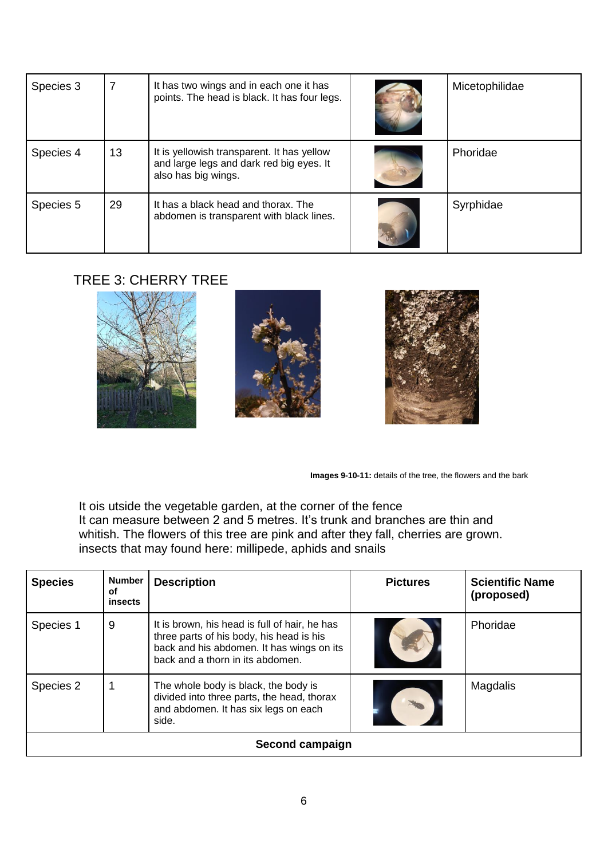| Species 3 |    | It has two wings and in each one it has<br>points. The head is black. It has four legs.                       | Micetophilidae |
|-----------|----|---------------------------------------------------------------------------------------------------------------|----------------|
| Species 4 | 13 | It is yellowish transparent. It has yellow<br>and large legs and dark red big eyes. It<br>also has big wings. | Phoridae       |
| Species 5 | 29 | It has a black head and thorax. The<br>abdomen is transparent with black lines.                               | Syrphidae      |

# TREE 3: CHERRY TREE



**Images 9-10-11:** details of the tree, the flowers and the bark

It ois utside the vegetable garden, at the corner of the fence It can measure between 2 and 5 metres. It's trunk and branches are thin and whitish. The flowers of this tree are pink and after they fall, cherries are grown. insects that may found here: millipede, aphids and snails

| <b>Species</b> | <b>Number</b><br>оf<br><b>insects</b>                                                                                                    | <b>Description</b>                                                                                                                                                         | <b>Pictures</b> | <b>Scientific Name</b><br>(proposed) |  |  |
|----------------|------------------------------------------------------------------------------------------------------------------------------------------|----------------------------------------------------------------------------------------------------------------------------------------------------------------------------|-----------------|--------------------------------------|--|--|
| Species 1      | 9                                                                                                                                        | It is brown, his head is full of hair, he has<br>three parts of his body, his head is his<br>back and his abdomen. It has wings on its<br>back and a thorn in its abdomen. |                 | Phoridae                             |  |  |
| Species 2      | 1<br>The whole body is black, the body is<br>divided into three parts, the head, thorax<br>and abdomen. It has six legs on each<br>side. |                                                                                                                                                                            |                 | Magdalis                             |  |  |
|                | Second campaign                                                                                                                          |                                                                                                                                                                            |                 |                                      |  |  |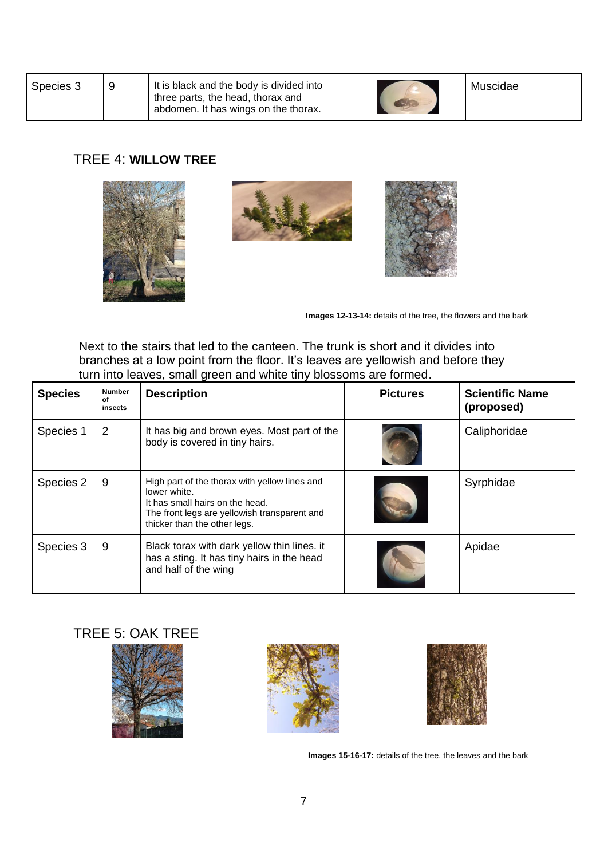| Species 3 |  | It is black and the body is divided into<br>three parts, the head, thorax and<br>abdomen. It has wings on the thorax. |  | Muscidae |
|-----------|--|-----------------------------------------------------------------------------------------------------------------------|--|----------|
|-----------|--|-----------------------------------------------------------------------------------------------------------------------|--|----------|

### TREE 4: **WILLOW TREE**







**Images 12-13-14:** details of the tree, the flowers and the bark

Next to the stairs that led to the canteen. The trunk is short and it divides into branches at a low point from the floor. It's leaves are yellowish and before they turn into leaves, small green and white tiny blossoms are formed.

| <b>Species</b> | <b>Number</b><br>οf<br>insects | <b>Description</b>                                                                                                                                                               | <b>Pictures</b> | <b>Scientific Name</b><br>(proposed) |
|----------------|--------------------------------|----------------------------------------------------------------------------------------------------------------------------------------------------------------------------------|-----------------|--------------------------------------|
| Species 1      | 2                              | It has big and brown eyes. Most part of the<br>body is covered in tiny hairs.                                                                                                    |                 | Caliphoridae                         |
| Species 2      | 9                              | High part of the thorax with yellow lines and<br>lower white.<br>It has small hairs on the head.<br>The front legs are yellowish transparent and<br>thicker than the other legs. |                 | Syrphidae                            |
| Species 3      | 9                              | Black torax with dark yellow thin lines. it<br>has a sting. It has tiny hairs in the head<br>and half of the wing                                                                |                 | Apidae                               |

# TREE 5: OAK TREE







**Images 15-16-17:** details of the tree, the leaves and the bark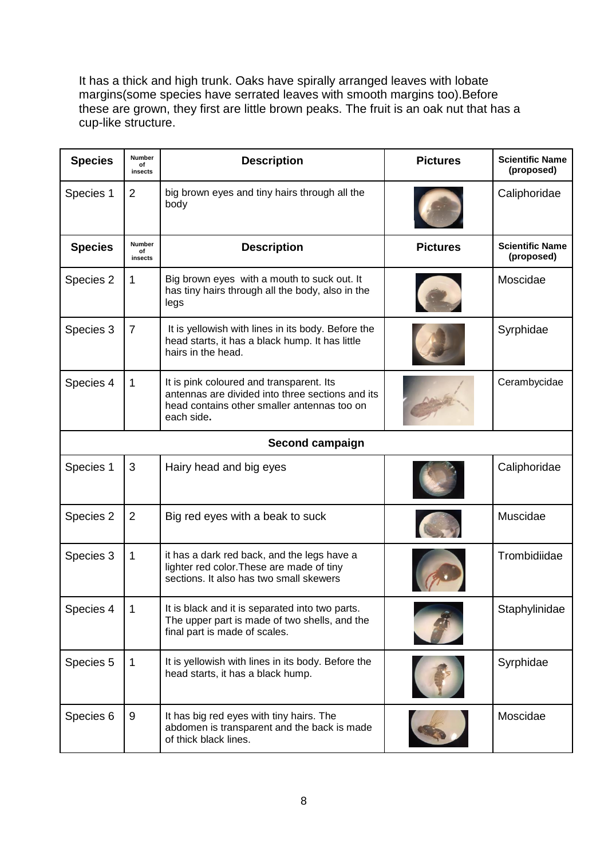It has a thick and high trunk. Oaks have spirally arranged leaves with lobate margins(some species have serrated leaves with smooth margins too).Before these are grown, they first are little brown peaks. The fruit is an oak nut that has a cup-like structure.

| <b>Species</b> | <b>Number</b><br>of<br>insects | <b>Description</b>                                                                                                                                        | <b>Pictures</b> | <b>Scientific Name</b><br>(proposed) |
|----------------|--------------------------------|-----------------------------------------------------------------------------------------------------------------------------------------------------------|-----------------|--------------------------------------|
| Species 1      | 2                              | big brown eyes and tiny hairs through all the<br>body                                                                                                     |                 | Caliphoridae                         |
| <b>Species</b> | Number<br>of<br>insects        | <b>Description</b>                                                                                                                                        | <b>Pictures</b> | <b>Scientific Name</b><br>(proposed) |
| Species 2      | 1                              | Big brown eyes with a mouth to suck out. It<br>has tiny hairs through all the body, also in the<br>legs                                                   |                 | Moscidae                             |
| Species 3      | $\overline{7}$                 | It is yellowish with lines in its body. Before the<br>head starts, it has a black hump. It has little<br>hairs in the head.                               |                 | Syrphidae                            |
| Species 4      | 1                              | It is pink coloured and transparent. Its<br>antennas are divided into three sections and its<br>head contains other smaller antennas too on<br>each side. |                 | Cerambycidae                         |
|                |                                | Second campaign                                                                                                                                           |                 |                                      |
| Species 1      | 3                              | Hairy head and big eyes                                                                                                                                   |                 | Caliphoridae                         |
| Species 2      | $\overline{2}$                 | Big red eyes with a beak to suck                                                                                                                          |                 | Muscidae                             |
| Species 3      | 1                              | it has a dark red back, and the legs have a<br>lighter red color. These are made of tiny<br>sections. It also has two small skewers                       |                 | Trombidiidae                         |
| Species 4      | $\mathbf 1$                    | It is black and it is separated into two parts.<br>The upper part is made of two shells, and the<br>final part is made of scales.                         |                 | Staphylinidae                        |
| Species 5      | $\mathbf 1$                    | It is yellowish with lines in its body. Before the<br>head starts, it has a black hump.                                                                   |                 | Syrphidae                            |
| Species 6      | 9                              | It has big red eyes with tiny hairs. The<br>abdomen is transparent and the back is made<br>of thick black lines.                                          |                 | Moscidae                             |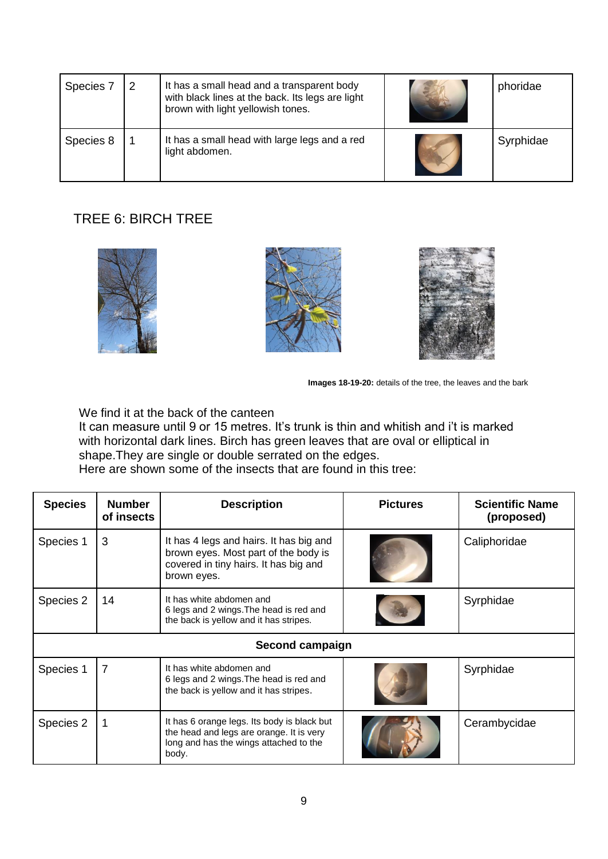| Species 7 | 2 | It has a small head and a transparent body<br>with black lines at the back. Its legs are light<br>brown with light yellowish tones. | phoridae  |
|-----------|---|-------------------------------------------------------------------------------------------------------------------------------------|-----------|
| Species 8 |   | It has a small head with large legs and a red<br>light abdomen.                                                                     | Syrphidae |

# TREE 6: BIRCH TREE







**Images 18-19-20:** details of the tree, the leaves and the bark

We find it at the back of the canteen

It can measure until 9 or 15 metres. It's trunk is thin and whitish and i't is marked with horizontal dark lines. Birch has green leaves that are oval or elliptical in shape.They are single or double serrated on the edges.

Here are shown some of the insects that are found in this tree:

| <b>Species</b> | <b>Number</b><br>of insects                                                                                                     | <b>Description</b><br><b>Pictures</b>                                                                                                      |              | <b>Scientific Name</b><br>(proposed) |
|----------------|---------------------------------------------------------------------------------------------------------------------------------|--------------------------------------------------------------------------------------------------------------------------------------------|--------------|--------------------------------------|
| Species 1      | 3                                                                                                                               | It has 4 legs and hairs. It has big and<br>brown eyes. Most part of the body is<br>covered in tiny hairs. It has big and<br>brown eyes.    | Caliphoridae |                                      |
| Species 2      | 14                                                                                                                              | It has white abdomen and<br>6 legs and 2 wings. The head is red and<br>the back is yellow and it has stripes.                              |              | Syrphidae                            |
|                |                                                                                                                                 | Second campaign                                                                                                                            |              |                                      |
| Species 1      | $\overline{7}$<br>It has white abdomen and<br>6 legs and 2 wings. The head is red and<br>the back is yellow and it has stripes. |                                                                                                                                            |              | Syrphidae                            |
| Species 2      |                                                                                                                                 | It has 6 orange legs. Its body is black but<br>the head and legs are orange. It is very<br>long and has the wings attached to the<br>body. |              | Cerambycidae                         |